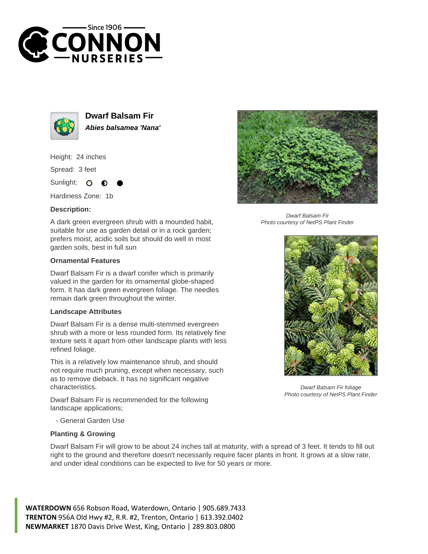



**Dwarf Balsam Fir Abies balsamea 'Nana'**

Height: 24 inches

Spread: 3 feet

Sunlight:  $\circ$ 

Hardiness Zone: 1b

## **Description:**

A dark green evergreen shrub with a mounded habit, suitable for use as garden detail or in a rock garden; prefers moist, acidic soils but should do well in most garden soils, best in full sun

## **Ornamental Features**

Dwarf Balsam Fir is a dwarf conifer which is primarily valued in the garden for its ornamental globe-shaped form. It has dark green evergreen foliage. The needles remain dark green throughout the winter.

## **Landscape Attributes**

Dwarf Balsam Fir is a dense multi-stemmed evergreen shrub with a more or less rounded form. Its relatively fine texture sets it apart from other landscape plants with less refined foliage.

This is a relatively low maintenance shrub, and should not require much pruning, except when necessary, such as to remove dieback. It has no significant negative characteristics.

Dwarf Balsam Fir is recommended for the following landscape applications;



## **Planting & Growing**

Dwarf Balsam Fir will grow to be about 24 inches tall at maturity, with a spread of 3 feet. It tends to fill out right to the ground and therefore doesn't necessarily require facer plants in front. It grows at a slow rate, and under ideal conditions can be expected to live for 50 years or more.

**WATERDOWN** 656 Robson Road, Waterdown, Ontario | 905.689.7433 **TRENTON** 956A Old Hwy #2, R.R. #2, Trenton, Ontario | 613.392.0402 **NEWMARKET** 1870 Davis Drive West, King, Ontario | 289.803.0800



Dwarf Balsam Fir Photo courtesy of NetPS Plant Finder



Dwarf Balsam Fir foliage Photo courtesy of NetPS Plant Finder